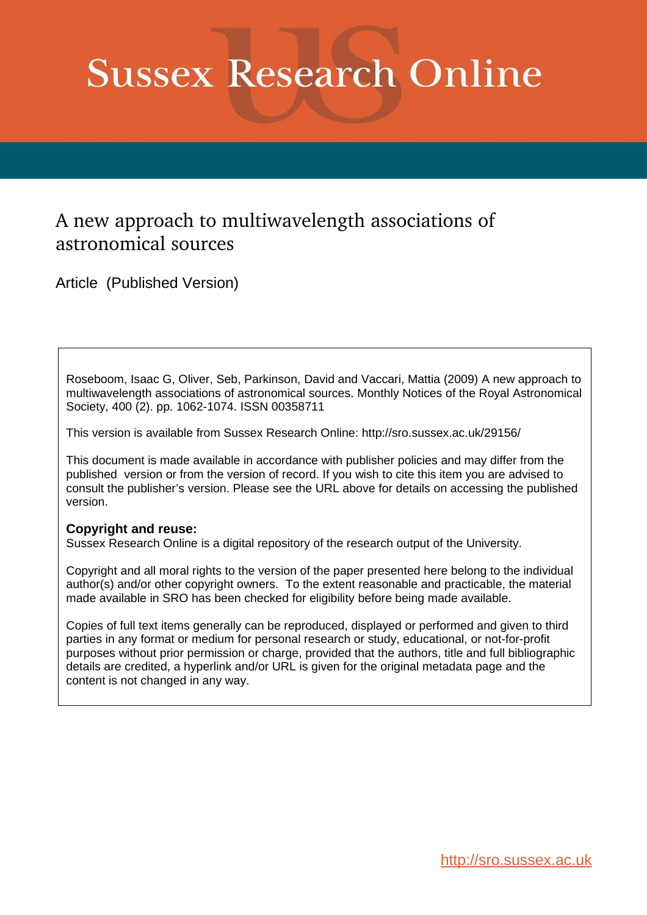# **Sussex Research Online**

# A new approach to multiwavelength associations of astronomical sources

Article (Published Version)

Roseboom, Isaac G, Oliver, Seb, Parkinson, David and Vaccari, Mattia (2009) A new approach to multiwavelength associations of astronomical sources. Monthly Notices of the Royal Astronomical Society, 400 (2). pp. 1062-1074. ISSN 00358711

This version is available from Sussex Research Online: http://sro.sussex.ac.uk/29156/

This document is made available in accordance with publisher policies and may differ from the published version or from the version of record. If you wish to cite this item you are advised to consult the publisher's version. Please see the URL above for details on accessing the published version.

# **Copyright and reuse:**

Sussex Research Online is a digital repository of the research output of the University.

Copyright and all moral rights to the version of the paper presented here belong to the individual author(s) and/or other copyright owners. To the extent reasonable and practicable, the material made available in SRO has been checked for eligibility before being made available.

Copies of full text items generally can be reproduced, displayed or performed and given to third parties in any format or medium for personal research or study, educational, or not-for-profit purposes without prior permission or charge, provided that the authors, title and full bibliographic details are credited, a hyperlink and/or URL is given for the original metadata page and the content is not changed in any way.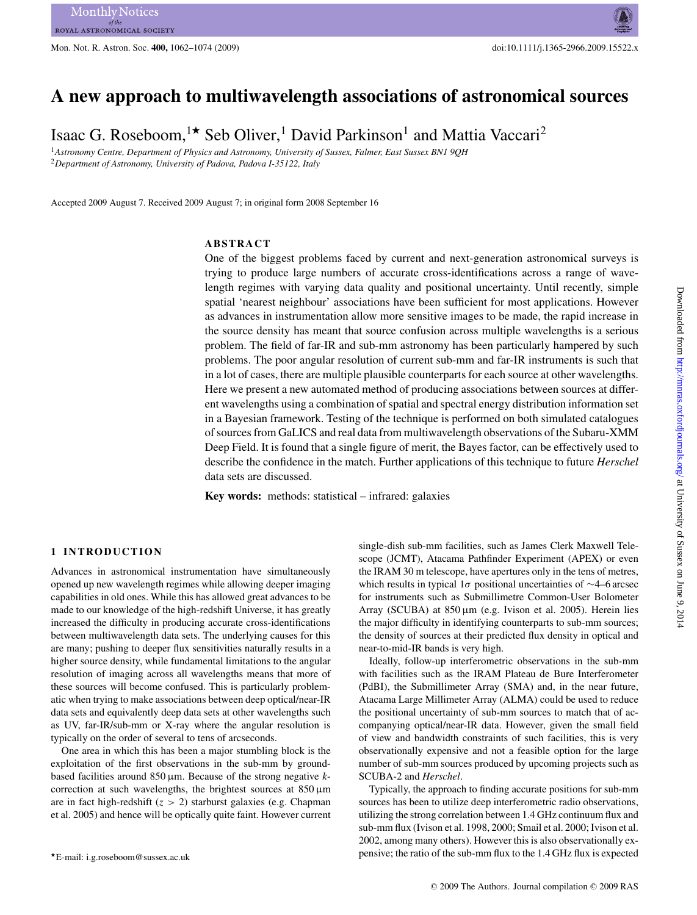Mon. Not. R. Astron. Soc. **400,** 1062–1074 (2009) doi:10.1111/j.1365-2966.2009.15522.x

# **A new approach to multiwavelength associations of astronomical sources**

Isaac G. Roseboom, <sup>1\*</sup> Seb Oliver,<sup>1</sup> David Parkinson<sup>1</sup> and Mattia Vaccari<sup>2</sup>

<sup>1</sup>*Astronomy Centre, Department of Physics and Astronomy, University of Sussex, Falmer, East Sussex BN1 9QH* <sup>2</sup>*Department of Astronomy, University of Padova, Padova I-35122, Italy*

Accepted 2009 August 7. Received 2009 August 7; in original form 2008 September 16

# **ABSTRACT**

One of the biggest problems faced by current and next-generation astronomical surveys is trying to produce large numbers of accurate cross-identifications across a range of wavelength regimes with varying data quality and positional uncertainty. Until recently, simple spatial 'nearest neighbour' associations have been sufficient for most applications. However as advances in instrumentation allow more sensitive images to be made, the rapid increase in the source density has meant that source confusion across multiple wavelengths is a serious problem. The field of far-IR and sub-mm astronomy has been particularly hampered by such problems. The poor angular resolution of current sub-mm and far-IR instruments is such that in a lot of cases, there are multiple plausible counterparts for each source at other wavelengths. Here we present a new automated method of producing associations between sources at different wavelengths using a combination of spatial and spectral energy distribution information set in a Bayesian framework. Testing of the technique is performed on both simulated catalogues of sources from GaLICS and real data from multiwavelength observations of the Subaru-XMM Deep Field. It is found that a single figure of merit, the Bayes factor, can be effectively used to describe the confidence in the match. Further applications of this technique to future *Herschel* data sets are discussed.

**Key words:** methods: statistical – infrared: galaxies

# **1 INTRODUCTION**

Advances in astronomical instrumentation have simultaneously opened up new wavelength regimes while allowing deeper imaging capabilities in old ones. While this has allowed great advances to be made to our knowledge of the high-redshift Universe, it has greatly increased the difficulty in producing accurate cross-identifications between multiwavelength data sets. The underlying causes for this are many; pushing to deeper flux sensitivities naturally results in a higher source density, while fundamental limitations to the angular resolution of imaging across all wavelengths means that more of these sources will become confused. This is particularly problematic when trying to make associations between deep optical/near-IR data sets and equivalently deep data sets at other wavelengths such as UV, far-IR/sub-mm or X-ray where the angular resolution is typically on the order of several to tens of arcseconds.

One area in which this has been a major stumbling block is the exploitation of the first observations in the sub-mm by groundbased facilities around  $850 \,\mu$ m. Because of the strong negative *k*correction at such wavelengths, the brightest sources at  $850 \,\mu m$ are in fact high-redshift  $(z > 2)$  starburst galaxies (e.g. Chapman et al. 2005) and hence will be optically quite faint. However current

single-dish sub-mm facilities, such as James Clerk Maxwell Telescope (JCMT), Atacama Pathfinder Experiment (APEX) or even the IRAM 30 m telescope, have apertures only in the tens of metres, which results in typical 1σ positional uncertainties of ∼4–6 arcsec for instruments such as Submillimetre Common-User Bolometer Array (SCUBA) at  $850 \,\mu m$  (e.g. Ivison et al. 2005). Herein lies the major difficulty in identifying counterparts to sub-mm sources; the density of sources at their predicted flux density in optical and near-to-mid-IR bands is very high.

Ideally, follow-up interferometric observations in the sub-mm with facilities such as the IRAM Plateau de Bure Interferometer (PdBI), the Submillimeter Array (SMA) and, in the near future, Atacama Large Millimeter Array (ALMA) could be used to reduce the positional uncertainty of sub-mm sources to match that of accompanying optical/near-IR data. However, given the small field of view and bandwidth constraints of such facilities, this is very observationally expensive and not a feasible option for the large number of sub-mm sources produced by upcoming projects such as SCUBA-2 and *Herschel*.

Typically, the approach to finding accurate positions for sub-mm sources has been to utilize deep interferometric radio observations, utilizing the strong correlation between 1.4 GHz continuum flux and sub-mm flux (Ivison et al. 1998, 2000; Smail et al. 2000; Ivison et al. 2002, among many others). However this is also observationally expensive; the ratio of the sub-mm flux to the 1.4 GHz flux is expected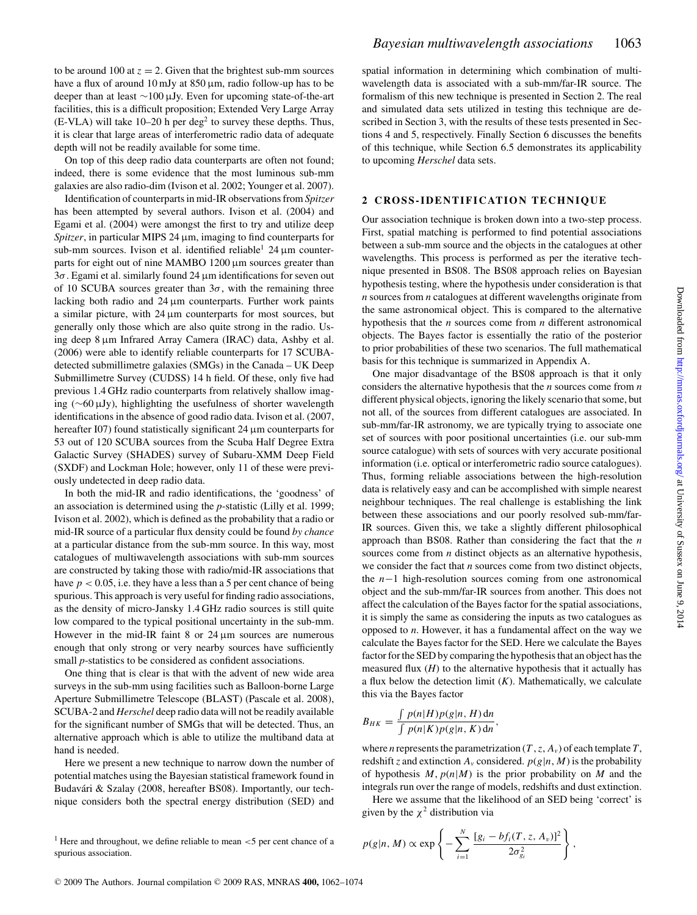to be around 100 at  $z = 2$ . Given that the brightest sub-mm sources have a flux of around 10 mJy at  $850 \,\mu$ m, radio follow-up has to be deeper than at least ∼100 µJy. Even for upcoming state-of-the-art facilities, this is a difficult proposition; Extended Very Large Array  $(E-VLA)$  will take 10–20 h per deg<sup>2</sup> to survey these depths. Thus, it is clear that large areas of interferometric radio data of adequate depth will not be readily available for some time.

On top of this deep radio data counterparts are often not found; indeed, there is some evidence that the most luminous sub-mm galaxies are also radio-dim (Ivison et al. 2002; Younger et al. 2007).

Identification of counterparts in mid-IR observations from *Spitzer* has been attempted by several authors. Ivison et al. (2004) and Egami et al. (2004) were amongst the first to try and utilize deep *Spitzer*, in particular MIPS 24  $\mu$ m, imaging to find counterparts for sub-mm sources. Ivison et al. identified reliable<sup>1</sup> 24  $\mu$ m counterparts for eight out of nine MAMBO 1200 µm sources greater than  $3\sigma$ . Egami et al. similarly found 24  $\mu$ m identifications for seven out of 10 SCUBA sources greater than  $3\sigma$ , with the remaining three lacking both radio and  $24 \mu m$  counterparts. Further work paints a similar picture, with  $24 \mu m$  counterparts for most sources, but generally only those which are also quite strong in the radio. Using deep 8 µm Infrared Array Camera (IRAC) data, Ashby et al. (2006) were able to identify reliable counterparts for 17 SCUBAdetected submillimetre galaxies (SMGs) in the Canada – UK Deep Submillimetre Survey (CUDSS) 14 h field. Of these, only five had previous 1.4 GHz radio counterparts from relatively shallow imaging (∼60 µJy), highlighting the usefulness of shorter wavelength identifications in the absence of good radio data. Ivison et al. (2007, hereafter I07) found statistically significant 24  $\mu$ m counterparts for 53 out of 120 SCUBA sources from the Scuba Half Degree Extra Galactic Survey (SHADES) survey of Subaru-XMM Deep Field (SXDF) and Lockman Hole; however, only 11 of these were previously undetected in deep radio data.

In both the mid-IR and radio identifications, the 'goodness' of an association is determined using the *p*-statistic (Lilly et al. 1999; Ivison et al. 2002), which is defined as the probability that a radio or mid-IR source of a particular flux density could be found *by chance* at a particular distance from the sub-mm source. In this way, most catalogues of multiwavelength associations with sub-mm sources are constructed by taking those with radio/mid-IR associations that have  $p < 0.05$ , i.e. they have a less than a 5 per cent chance of being spurious. This approach is very useful for finding radio associations, as the density of micro-Jansky 1.4 GHz radio sources is still quite low compared to the typical positional uncertainty in the sub-mm. However in the mid-IR faint  $8$  or  $24 \mu m$  sources are numerous enough that only strong or very nearby sources have sufficiently small *p*-statistics to be considered as confident associations.

One thing that is clear is that with the advent of new wide area surveys in the sub-mm using facilities such as Balloon-borne Large Aperture Submillimetre Telescope (BLAST) (Pascale et al. 2008), SCUBA-2 and *Herschel* deep radio data will not be readily available for the significant number of SMGs that will be detected. Thus, an alternative approach which is able to utilize the multiband data at hand is needed.

Here we present a new technique to narrow down the number of potential matches using the Bayesian statistical framework found in Budavári & Szalay (2008, hereafter BS08). Importantly, our technique considers both the spectral energy distribution (SED) and

<sup>1</sup> Here and throughout, we define reliable to mean  $\lt$  5 per cent chance of a spurious association.

spatial information in determining which combination of multiwavelength data is associated with a sub-mm/far-IR source. The formalism of this new technique is presented in Section 2. The real and simulated data sets utilized in testing this technique are described in Section 3, with the results of these tests presented in Sections 4 and 5, respectively. Finally Section 6 discusses the benefits of this technique, while Section 6.5 demonstrates its applicability to upcoming *Herschel* data sets.

#### **2 CROSS-IDENTIFICATION TECHNIQUE**

Our association technique is broken down into a two-step process. First, spatial matching is performed to find potential associations between a sub-mm source and the objects in the catalogues at other wavelengths. This process is performed as per the iterative technique presented in BS08. The BS08 approach relies on Bayesian hypothesis testing, where the hypothesis under consideration is that *n* sources from *n* catalogues at different wavelengths originate from the same astronomical object. This is compared to the alternative hypothesis that the *n* sources come from *n* different astronomical objects. The Bayes factor is essentially the ratio of the posterior to prior probabilities of these two scenarios. The full mathematical basis for this technique is summarized in Appendix A.

One major disadvantage of the BS08 approach is that it only considers the alternative hypothesis that the *n* sources come from *n* different physical objects, ignoring the likely scenario that some, but not all, of the sources from different catalogues are associated. In sub-mm/far-IR astronomy, we are typically trying to associate one set of sources with poor positional uncertainties (i.e. our sub-mm source catalogue) with sets of sources with very accurate positional information (i.e. optical or interferometric radio source catalogues). Thus, forming reliable associations between the high-resolution data is relatively easy and can be accomplished with simple nearest neighbour techniques. The real challenge is establishing the link between these associations and our poorly resolved sub-mm/far-IR sources. Given this, we take a slightly different philosophical approach than BS08. Rather than considering the fact that the *n* sources come from *n* distinct objects as an alternative hypothesis, we consider the fact that *n* sources come from two distinct objects, the n−1 high-resolution sources coming from one astronomical object and the sub-mm/far-IR sources from another. This does not affect the calculation of the Bayes factor for the spatial associations, it is simply the same as considering the inputs as two catalogues as opposed to *n*. However, it has a fundamental affect on the way we calculate the Bayes factor for the SED. Here we calculate the Bayes factor for the SED by comparing the hypothesis that an object has the measured flux  $(H)$  to the alternative hypothesis that it actually has a flux below the detection limit  $(K)$ . Mathematically, we calculate this via the Bayes factor

$$
B_{HK} = \frac{\int p(n|H)p(g|n, H) \, \mathrm{d}n}{\int p(n|K)p(g|n, K) \, \mathrm{d}n},
$$

where *n* represents the parametrization ( $T$ ,  $z$ ,  $A<sub>v</sub>$ ) of each template  $T$ , redshift *z* and extinction  $A<sub>v</sub>$  considered.  $p(g|n, M)$  is the probability of hypothesis  $M$ ,  $p(n|M)$  is the prior probability on  $M$  and the integrals run over the range of models, redshifts and dust extinction.

Here we assume that the likelihood of an SED being 'correct' is given by the  $\chi^2$  distribution via

$$
p(g|n, M) \propto \exp\left\{-\sum_{i=1}^N \frac{[g_i - bf_i(T, z, A_v)]^2}{2\sigma_{g_i}^2}\right\},\,
$$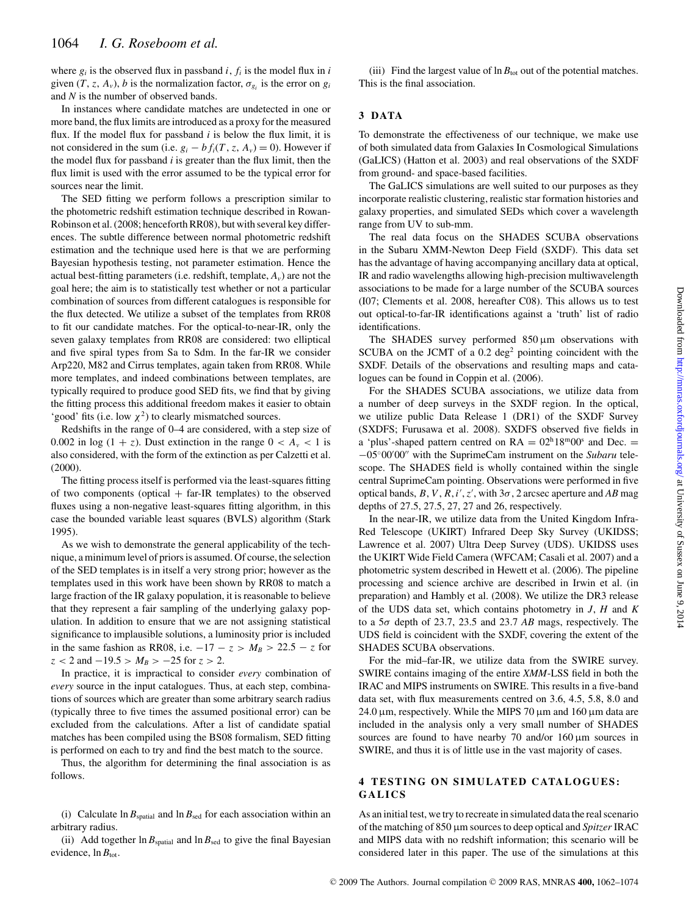where  $g_i$  is the observed flux in passband  $i$ ,  $f_i$  is the model flux in  $i$ given  $(T, z, A_v)$ , *b* is the normalization factor,  $\sigma_{g_i}$  is the error on  $g_i$ and *N* is the number of observed bands.

In instances where candidate matches are undetected in one or more band, the flux limits are introduced as a proxy for the measured flux. If the model flux for passband  $i$  is below the flux limit, it is not considered in the sum (i.e.  $g_i - bf_i(T, z, A_v) = 0$ ). However if the model flux for passband *i* is greater than the flux limit, then the flux limit is used with the error assumed to be the typical error for sources near the limit.

The SED fitting we perform follows a prescription similar to the photometric redshift estimation technique described in Rowan-Robinson et al. (2008; henceforth RR08), but with several key differences. The subtle difference between normal photometric redshift estimation and the technique used here is that we are performing Bayesian hypothesis testing, not parameter estimation. Hence the actual best-fitting parameters (i.e. redshift, template,  $A<sub>v</sub>$ ) are not the goal here; the aim is to statistically test whether or not a particular combination of sources from different catalogues is responsible for the flux detected. We utilize a subset of the templates from RR08 to fit our candidate matches. For the optical-to-near-IR, only the seven galaxy templates from RR08 are considered: two elliptical and five spiral types from Sa to Sdm. In the far-IR we consider Arp220, M82 and Cirrus templates, again taken from RR08. While more templates, and indeed combinations between templates, are typically required to produce good SED fits, we find that by giving the fitting process this additional freedom makes it easier to obtain 'good' fits (i.e. low  $\chi^2$ ) to clearly mismatched sources.

Redshifts in the range of 0–4 are considered, with a step size of 0.002 in  $log(1 + z)$ . Dust extinction in the range  $0 < A<sub>v</sub> < 1$  is also considered, with the form of the extinction as per Calzetti et al. (2000).

The fitting process itself is performed via the least-squares fitting of two components (optical  $+$  far-IR templates) to the observed fluxes using a non-negative least-squares fitting algorithm, in this case the bounded variable least squares (BVLS) algorithm (Stark 1995).

As we wish to demonstrate the general applicability of the technique, a minimum level of priors is assumed. Of course, the selection of the SED templates is in itself a very strong prior; however as the templates used in this work have been shown by RR08 to match a large fraction of the IR galaxy population, it is reasonable to believe that they represent a fair sampling of the underlying galaxy population. In addition to ensure that we are not assigning statistical significance to implausible solutions, a luminosity prior is included in the same fashion as RR08, i.e.  $-17 - z > M_B > 22.5 - z$  for  $z < 2$  and  $-19.5 > M_B > -25$  for  $z > 2$ .

In practice, it is impractical to consider *every* combination of *every* source in the input catalogues. Thus, at each step, combinations of sources which are greater than some arbitrary search radius (typically three to five times the assumed positional error) can be excluded from the calculations. After a list of candidate spatial matches has been compiled using the BS08 formalism, SED fitting is performed on each to try and find the best match to the source.

Thus, the algorithm for determining the final association is as follows.

(i) Calculate  $\ln B_{\text{spatial}}$  and  $\ln B_{\text{sed}}$  for each association within an arbitrary radius.

(ii) Add together  $\ln B_{\text{spatial}}$  and  $\ln B_{\text{sed}}$  to give the final Bayesian evidence,  $\ln B_{\text{tot}}$ .

(iii) Find the largest value of  $\ln B_{\text{tot}}$  out of the potential matches. This is the final association.

# **3 DATA**

To demonstrate the effectiveness of our technique, we make use of both simulated data from Galaxies In Cosmological Simulations (GaLICS) (Hatton et al. 2003) and real observations of the SXDF from ground- and space-based facilities.

The GaLICS simulations are well suited to our purposes as they incorporate realistic clustering, realistic star formation histories and galaxy properties, and simulated SEDs which cover a wavelength range from UV to sub-mm.

The real data focus on the SHADES SCUBA observations in the Subaru XMM-Newton Deep Field (SXDF). This data set has the advantage of having accompanying ancillary data at optical, IR and radio wavelengths allowing high-precision multiwavelength associations to be made for a large number of the SCUBA sources (I07; Clements et al. 2008, hereafter C08). This allows us to test out optical-to-far-IR identifications against a 'truth' list of radio identifications.

The SHADES survey performed  $850 \,\mu m$  observations with SCUBA on the JCMT of a  $0.2 \text{ deg}^2$  pointing coincident with the SXDF. Details of the observations and resulting maps and catalogues can be found in Coppin et al. (2006).

For the SHADES SCUBA associations, we utilize data from a number of deep surveys in the SXDF region. In the optical, we utilize public Data Release 1 (DR1) of the SXDF Survey (SXDFS; Furusawa et al. 2008). SXDFS observed five fields in a 'plus'-shaped pattern centred on  $RA = 02<sup>h</sup>18<sup>m</sup>00<sup>s</sup>$  and Dec. = −05◦00′00′′ with the SuprimeCam instrument on the *Subaru* telescope. The SHADES field is wholly contained within the single central SuprimeCam pointing. Observations were performed in five optical bands,  $B, V, R, i', z'$ , with  $3\sigma$ , 2 arcsec aperture and AB mag depths of 27.5, 27.5, 27, 27 and 26, respectively.

In the near-IR, we utilize data from the United Kingdom Infra-Red Telescope (UKIRT) Infrared Deep Sky Survey (UKIDSS; Lawrence et al. 2007) Ultra Deep Survey (UDS). UKIDSS uses the UKIRT Wide Field Camera (WFCAM; Casali et al. 2007) and a photometric system described in Hewett et al. (2006). The pipeline processing and science archive are described in Irwin et al. (in preparation) and Hambly et al. (2008). We utilize the DR3 release of the UDS data set, which contains photometry in *J*, *H* and *K* to a 5σ depth of 23.7, 23.5 and 23.7 *AB* mags, respectively. The UDS field is coincident with the SXDF, covering the extent of the SHADES SCUBA observations.

For the mid–far-IR, we utilize data from the SWIRE survey. SWIRE contains imaging of the entire *XMM*-LSS field in both the IRAC and MIPS instruments on SWIRE. This results in a five-band data set, with flux measurements centred on 3.6, 4.5, 5.8, 8.0 and 24.0  $\mu$ m, respectively. While the MIPS 70  $\mu$ m and 160  $\mu$ m data are included in the analysis only a very small number of SHADES sources are found to have nearby 70 and/or  $160 \,\mu m$  sources in SWIRE, and thus it is of little use in the vast majority of cases.

# **4 TESTING ON SIMULATED CATALOGUES: GALICS**

As an initial test, we try to recreate in simulated data the real scenario of the matching of 850 µm sources to deep optical and *Spitzer* IRAC and MIPS data with no redshift information; this scenario will be considered later in this paper. The use of the simulations at this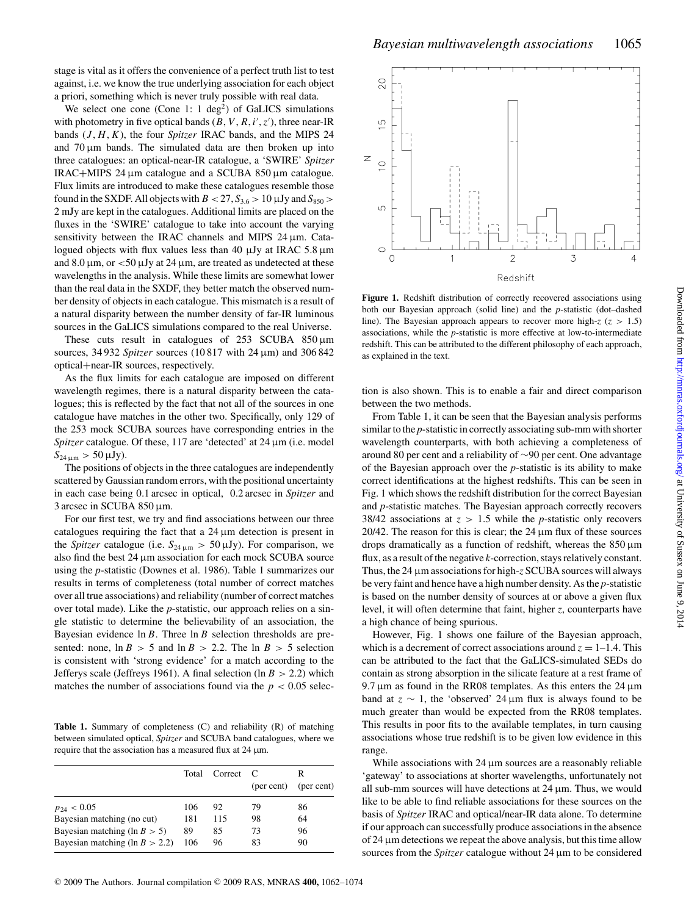stage is vital as it offers the convenience of a perfect truth list to test against, i.e. we know the true underlying association for each object a priori, something which is never truly possible with real data.

We select one cone (Cone 1:  $1 \text{ deg}^2$ ) of GaLICS simulations with photometry in five optical bands  $(B, V, R, i', z')$ , three near-IR bands (*J*, *H*, *K*), the four *Spitzer* IRAC bands, and the MIPS 24 and  $70 \mu m$  bands. The simulated data are then broken up into three catalogues: an optical-near-IR catalogue, a 'SWIRE' *Spitzer* IRAC+MIPS 24  $\mu$ m catalogue and a SCUBA 850  $\mu$ m catalogue. Flux limits are introduced to make these catalogues resemble those found in the SXDF. All objects with  $B < 27$ ,  $S_{3.6} > 10 \mu Jy$  and  $S_{850} >$ 2 mJy are kept in the catalogues. Additional limits are placed on the fluxes in the 'SWIRE' catalogue to take into account the varying sensitivity between the IRAC channels and MIPS 24 µm. Catalogued objects with flux values less than 40  $\mu$ Jy at IRAC 5.8  $\mu$ m and 8.0  $\mu$ m, or <50  $\mu$ Jy at 24  $\mu$ m, are treated as undetected at these wavelengths in the analysis. While these limits are somewhat lower than the real data in the SXDF, they better match the observed number density of objects in each catalogue. This mismatch is a result of a natural disparity between the number density of far-IR luminous sources in the GaLICS simulations compared to the real Universe.

These cuts result in catalogues of  $253$  SCUBA  $850 \,\mu m$ sources, 34 932 *Spitzer* sources (10 817 with 24 µm) and 306 842 optical+near-IR sources, respectively.

As the flux limits for each catalogue are imposed on different wavelength regimes, there is a natural disparity between the catalogues; this is reflected by the fact that not all of the sources in one catalogue have matches in the other two. Specifically, only 129 of the 253 mock SCUBA sources have corresponding entries in the *Spitzer* catalogue. Of these, 117 are 'detected' at 24 µm (i.e. model  $S_{24 \mu m} > 50 \,\mu Jy$ .

The positions of objects in the three catalogues are independently scattered by Gaussian random errors, with the positional uncertainty in each case being 0.1 arcsec in optical, 0.2 arcsec in *Spitzer* and 3 arcsec in SCUBA 850 µm.

For our first test, we try and find associations between our three catalogues requiring the fact that a  $24 \mu m$  detection is present in the *Spitzer* catalogue (i.e.  $S_{24 \mu m} > 50 \mu Jy$ ). For comparison, we also find the best 24  $\mu$ m association for each mock SCUBA source using the *p*-statistic (Downes et al. 1986). Table 1 summarizes our results in terms of completeness (total number of correct matches over all true associations) and reliability (number of correct matches over total made). Like the *p*-statistic, our approach relies on a single statistic to determine the believability of an association, the Bayesian evidence  $\ln B$ . Three  $\ln B$  selection thresholds are presented: none,  $\ln B > 5$  and  $\ln B > 2.2$ . The  $\ln B > 5$  selection is consistent with 'strong evidence' for a match according to the Jefferys scale (Jeffreys 1961). A final selection (ln  $B > 2.2$ ) which matches the number of associations found via the  $p < 0.05$  selec-

Table 1. Summary of completeness (C) and reliability (R) of matching between simulated optical, *Spitzer* and SCUBA band catalogues, where we require that the association has a measured flux at  $24 \mu m$ .

|                                   |     | Total Correct C | (per cent) | R<br>(per cent) |
|-----------------------------------|-----|-----------------|------------|-----------------|
| $p_{24} < 0.05$                   | 106 | 92              | 79         | 86              |
| Bayesian matching (no cut)        | 181 | 115             | 98         | 64              |
| Bayesian matching (ln $B > 5$ )   | 89  | 85              | 73         | 96              |
| Bayesian matching (ln $B > 2.2$ ) | 106 | 96              | 83         | 90              |

 $\overline{Q}$ 

 $\overline{0}$ 

ഗ

 $\circ$ 

 $\overline{C}$ 

 $\, \geq$  $\circ$ 



Figure 1. Redshift distribution of correctly recovered associations using both our Bayesian approach (solid line) and the *p*-statistic (dot–dashed line). The Bayesian approach appears to recover more high- $z$  ( $z > 1.5$ ) associations, while the *p*-statistic is more effective at low-to-intermediate redshift. This can be attributed to the different philosophy of each approach, as explained in the text.

 $\overline{2}$ 

Redshift

 $\mathbf{1}$ 

tion is also shown. This is to enable a fair and direct comparison between the two methods.

From Table 1, it can be seen that the Bayesian analysis performs similar to the *p*-statistic in correctly associating sub-mm with shorter wavelength counterparts, with both achieving a completeness of around 80 per cent and a reliability of ∼90 per cent. One advantage of the Bayesian approach over the *p*-statistic is its ability to make correct identifications at the highest redshifts. This can be seen in Fig. 1 which shows the redshift distribution for the correct Bayesian and *p*-statistic matches. The Bayesian approach correctly recovers 38/42 associations at  $z > 1.5$  while the *p*-statistic only recovers 20/42. The reason for this is clear; the  $24 \mu m$  flux of these sources drops dramatically as a function of redshift, whereas the  $850 \,\mu m$ flux, as a result of the negative *k*-correction, stays relatively constant. Thus, the 24 µm associations for high-*z* SCUBA sources will always be very faint and hence have a high number density. As the *p*-statistic is based on the number density of sources at or above a given flux level, it will often determine that faint, higher *z*, counterparts have a high chance of being spurious.

However, Fig. 1 shows one failure of the Bayesian approach, which is a decrement of correct associations around  $z = 1-1.4$ . This can be attributed to the fact that the GaLICS-simulated SEDs do contain as strong absorption in the silicate feature at a rest frame of 9.7  $\mu$ m as found in the RR08 templates. As this enters the 24  $\mu$ m band at  $z \sim 1$ , the 'observed' 24 µm flux is always found to be much greater than would be expected from the RR08 templates. This results in poor fits to the available templates, in turn causing associations whose true redshift is to be given low evidence in this range.

While associations with 24  $\mu$ m sources are a reasonably reliable 'gateway' to associations at shorter wavelengths, unfortunately not all sub-mm sources will have detections at  $24 \mu m$ . Thus, we would like to be able to find reliable associations for these sources on the basis of *Spitzer* IRAC and optical/near-IR data alone. To determine if our approach can successfully produce associations in the absence of  $24 \mu$ m detections we repeat the above analysis, but this time allow sources from the *Spitzer* catalogue without 24 µm to be considered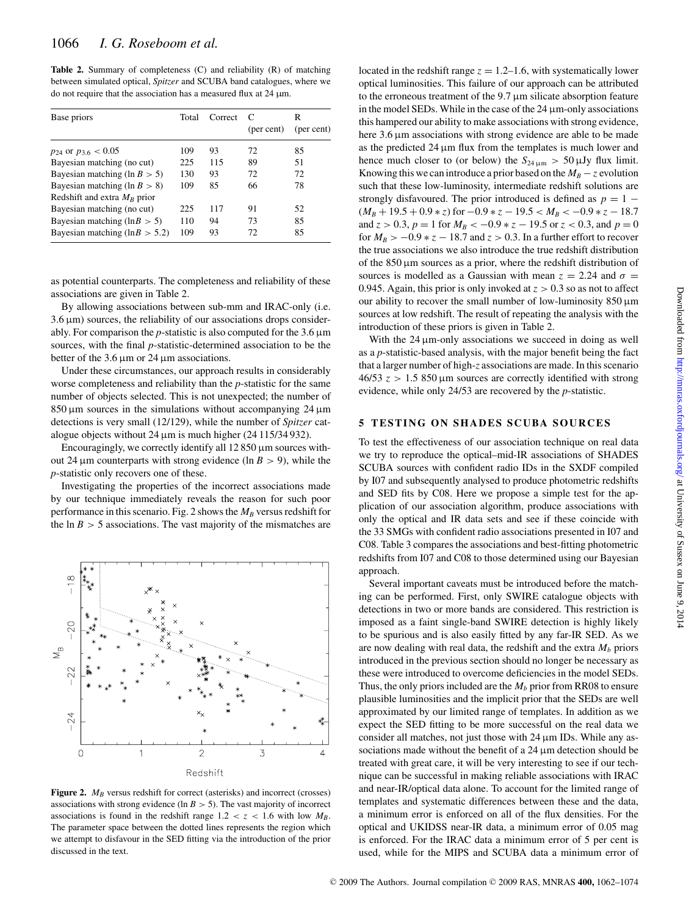Table 2. Summary of completeness (C) and reliability (R) of matching between simulated optical, *Spitzer* and SCUBA band catalogues, where we do not require that the association has a measured flux at  $24 \mu m$ .

| Base priors                         | Total | Correct | C<br>(per cent) | R<br>(per cent) |
|-------------------------------------|-------|---------|-----------------|-----------------|
| $p_{24}$ or $p_{3.6} < 0.05$        | 109   | 93      | 72              | 85              |
| Bayesian matching (no cut)          | 225   | 115     | 89              | 51              |
| Bayesian matching (ln $B > 5$ )     | 130   | 93      | 72              | 72              |
| Bayesian matching (ln $B > 8$ )     | 109   | 85      | 66              | 78              |
| Redshift and extra $M_B$ prior      |       |         |                 |                 |
| Bayesian matching (no cut)          | 225   | 117     | 91              | 52              |
| Bayesian matching ( $\ln B > 5$ )   | 110   | 94      | 73              | 85              |
| Bayesian matching ( $\ln B > 5.2$ ) | 109   | 93      | 72              | 85              |
|                                     |       |         |                 |                 |

as potential counterparts. The completeness and reliability of these associations are given in Table 2.

By allowing associations between sub-mm and IRAC-only (i.e.  $3.6 \,\mu$ m) sources, the reliability of our associations drops considerably. For comparison the  $p$ -statistic is also computed for the 3.6  $\mu$ m sources, with the final *p*-statistic-determined association to be the better of the  $3.6 \mu m$  or  $24 \mu m$  associations.

Under these circumstances, our approach results in considerably worse completeness and reliability than the *p*-statistic for the same number of objects selected. This is not unexpected; the number of  $850 \,\mu m$  sources in the simulations without accompanying 24  $\mu$ m detections is very small (12/129), while the number of *Spitzer* catalogue objects without  $24 \mu m$  is much higher ( $24 \frac{115}{34} \frac{932}{.}$ ).

Encouragingly, we correctly identify all  $12 850 \,\mu$ m sources without 24  $\mu$ m counterparts with strong evidence (ln B > 9), while the *p*-statistic only recovers one of these.

Investigating the properties of the incorrect associations made by our technique immediately reveals the reason for such poor performance in this scenario. Fig. 2 shows the  $M_B$  versus redshift for the  $\ln B > 5$  associations. The vast majority of the mismatches are



Figure 2.  $M_B$  versus redshift for correct (asterisks) and incorrect (crosses) associations with strong evidence (ln  $B > 5$ ). The vast majority of incorrect associations is found in the redshift range  $1.2 < z < 1.6$  with low  $M_B$ . The parameter space between the dotted lines represents the region which we attempt to disfavour in the SED fitting via the introduction of the prior discussed in the text.

located in the redshift range  $z = 1.2$ –1.6, with systematically lower optical luminosities. This failure of our approach can be attributed to the erroneous treatment of the 9.7 µm silicate absorption feature in the model SEDs. While in the case of the  $24 \mu$ m-only associations this hampered our ability to make associations with strong evidence, here 3.6  $\mu$ m associations with strong evidence are able to be made as the predicted  $24 \mu m$  flux from the templates is much lower and hence much closer to (or below) the  $S_{24 \text{ µm}} > 50 \text{ µJy}$  flux limit. Knowing this we can introduce a prior based on the  $M_B - z$  evolution such that these low-luminosity, intermediate redshift solutions are strongly disfavoured. The prior introduced is defined as  $p = 1 (M_B + 19.5 + 0.9 * z)$  for  $-0.9 * z - 19.5 < M_B < -0.9 * z - 18.7$ and  $z > 0.3$ ,  $p = 1$  for  $M_B < -0.9 * z - 19.5$  or  $z < 0.3$ , and  $p = 0$ for  $M_B > -0.9 * z - 18.7$  and  $z > 0.3$ . In a further effort to recover the true associations we also introduce the true redshift distribution of the  $850 \mu m$  sources as a prior, where the redshift distribution of sources is modelled as a Gaussian with mean  $z = 2.24$  and  $\sigma =$ 0.945. Again, this prior is only invoked at  $z > 0.3$  so as not to affect our ability to recover the small number of low-luminosity  $850 \,\mu m$ sources at low redshift. The result of repeating the analysis with the introduction of these priors is given in Table 2.

With the 24  $\mu$ m-only associations we succeed in doing as well as a *p*-statistic-based analysis, with the major benefit being the fact that a larger number of high-*z* associations are made. In this scenario  $46/53$  z > 1.5 850 µm sources are correctly identified with strong evidence, while only 24/53 are recovered by the *p*-statistic.

#### **5 TESTING ON SHADES SCUBA SOURCES**

To test the effectiveness of our association technique on real data we try to reproduce the optical–mid-IR associations of SHADES SCUBA sources with confident radio IDs in the SXDF compiled by I07 and subsequently analysed to produce photometric redshifts and SED fits by C08. Here we propose a simple test for the application of our association algorithm, produce associations with only the optical and IR data sets and see if these coincide with the 33 SMGs with confident radio associations presented in I07 and C08. Table 3 compares the associations and best-fitting photometric redshifts from I07 and C08 to those determined using our Bayesian approach.

Several important caveats must be introduced before the matching can be performed. First, only SWIRE catalogue objects with detections in two or more bands are considered. This restriction is imposed as a faint single-band SWIRE detection is highly likely to be spurious and is also easily fitted by any far-IR SED. As we are now dealing with real data, the redshift and the extra  $M_b$  priors introduced in the previous section should no longer be necessary as these were introduced to overcome deficiencies in the model SEDs. Thus, the only priors included are the  $M_b$  prior from RR08 to ensure plausible luminosities and the implicit prior that the SEDs are well approximated by our limited range of templates. In addition as we expect the SED fitting to be more successful on the real data we consider all matches, not just those with 24 µm IDs. While any associations made without the benefit of a 24  $\mu$ m detection should be treated with great care, it will be very interesting to see if our technique can be successful in making reliable associations with IRAC and near-IR/optical data alone. To account for the limited range of templates and systematic differences between these and the data, a minimum error is enforced on all of the flux densities. For the optical and UKIDSS near-IR data, a minimum error of 0.05 mag is enforced. For the IRAC data a minimum error of 5 per cent is used, while for the MIPS and SCUBA data a minimum error of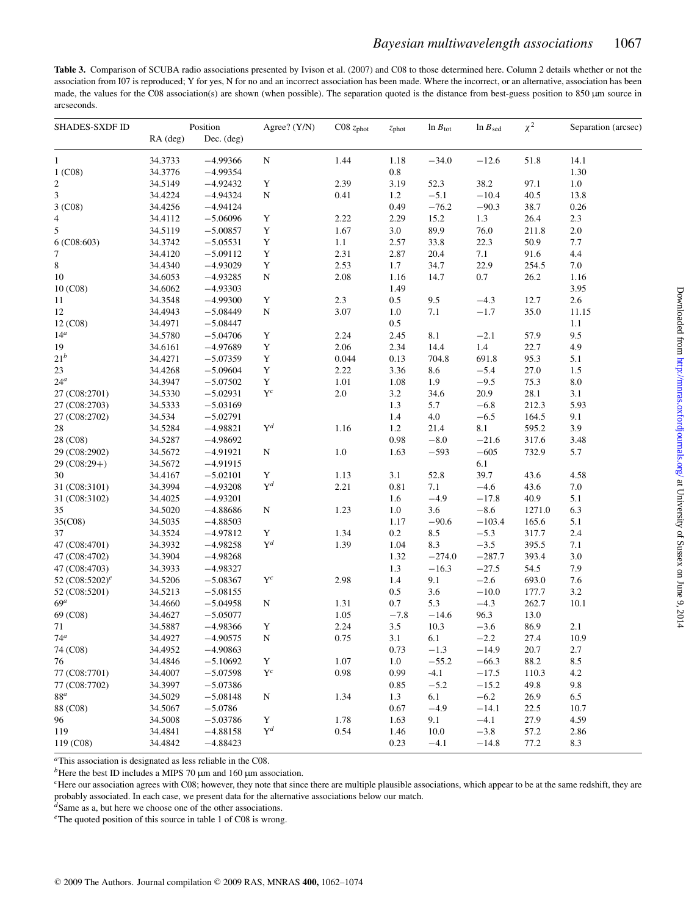**Table 3.** Comparison of SCUBA radio associations presented by Ivison et al. (2007) and C08 to those determined here. Column 2 details whether or not the association from I07 is reproduced; Y for yes, N for no and an incorrect association has been made. Where the incorrect, or an alternative, association has been made, the values for the C08 association(s) are shown (when possible). The separation quoted is the distance from best-guess position to 850 µm source in arcseconds.

| SHADES-SXDF ID             |          | Position   | Agree? (Y/N)   | $C08$ $z_{phot}$ | $z_{\text{phot}}$ | $\ln B_{\text{tot}}$ | $ln B_{sed}$ | $\chi^2$ | Separation (arcsec) |
|----------------------------|----------|------------|----------------|------------------|-------------------|----------------------|--------------|----------|---------------------|
|                            | RA (deg) | Dec. (deg) |                |                  |                   |                      |              |          |                     |
| $\mathbf{1}$               | 34.3733  | $-4.99366$ | ${\bf N}$      | 1.44             | 1.18              | $-34.0$              | $-12.6$      | 51.8     | 14.1                |
| 1 (C08)                    | 34.3776  | $-4.99354$ |                |                  | 0.8               |                      |              |          | 1.30                |
| 2                          | 34.5149  | $-4.92432$ | Y              | 2.39             | 3.19              | 52.3                 | 38.2         | 97.1     | $1.0\,$             |
| 3                          | 34.4224  | $-4.94324$ | N              | 0.41             | 1.2               | $-5.1$               | $-10.4$      | 40.5     | 13.8                |
| 3 (C08)                    | 34.4256  | $-4.94124$ |                |                  | 0.49              | $-76.2$              | $-90.3$      | 38.7     | 0.26                |
| 4                          | 34.4112  | $-5.06096$ | $\mathbf Y$    | 2.22             | 2.29              | 15.2                 | 1.3          | 26.4     | 2.3                 |
| 5                          | 34.5119  | $-5.00857$ | Y              | 1.67             | 3.0               | 89.9                 | 76.0         | 211.8    | 2.0                 |
| $6($ C08:603)              | 34.3742  | $-5.05531$ | $\mathbf Y$    | 1.1              | 2.57              | 33.8                 | 22.3         | 50.9     | 7.7                 |
| 7                          | 34.4120  | $-5.09112$ | $\mathbf Y$    | 2.31             | 2.87              | 20.4                 | 7.1          | 91.6     | 4.4                 |
| 8                          | 34.4340  | $-4.93029$ | $\mathbf Y$    | 2.53             | 1.7               | 34.7                 | 22.9         | 254.5    | 7.0                 |
| $10\,$                     | 34.6053  | $-4.93285$ | ${\bf N}$      | 2.08             | 1.16              | 14.7                 | 0.7          | 26.2     | 1.16                |
| 10 (C08)                   | 34.6062  | $-4.93303$ |                |                  | 1.49              |                      |              |          | 3.95                |
| 11                         | 34.3548  | $-4.99300$ | $\mathbf Y$    | 2.3              | $0.5\,$           | 9.5                  | $-4.3$       | 12.7     | 2.6                 |
| 12                         | 34.4943  | $-5.08449$ | ${\bf N}$      | 3.07             | 1.0               | $7.1\,$              | $-1.7$       | 35.0     | 11.15               |
| 12 (C08)                   | 34.4971  | $-5.08447$ |                |                  | 0.5               |                      |              |          | 1.1                 |
| $14^a$                     | 34.5780  | $-5.04706$ | $\mathbf Y$    | 2.24             | 2.45              | 8.1                  | $-2.1$       | 57.9     | 9.5                 |
| 19                         | 34.6161  | $-4.97689$ | $\mathbf Y$    | 2.06             | 2.34              | 14.4                 | $1.4\,$      | 22.7     | 4.9                 |
| $21^b$                     | 34.4271  | $-5.07359$ | $\mathbf Y$    | 0.044            | 0.13              | 704.8                | 691.8        | 95.3     | 5.1                 |
| 23                         | 34.4268  | $-5.09604$ | $\mathbf Y$    | 2.22             | 3.36              | 8.6                  | $-5.4$       | 27.0     | 1.5                 |
| 24 <sup>a</sup>            | 34.3947  | $-5.07502$ | Y              | 1.01             | 1.08              | 1.9                  | $-9.5$       | 75.3     | $8.0\,$             |
| 27 (C08:2701)              | 34.5330  | $-5.02931$ | $\mathbf{Y}^c$ | $2.0\,$          | 3.2               | 34.6                 | 20.9         | 28.1     | 3.1                 |
| 27 (C08:2703)              | 34.5333  | $-5.03169$ |                |                  | 1.3               | 5.7                  | $-6.8$       | 212.3    | 5.93                |
| 27 (C08:2702)              | 34.534   | $-5.02791$ |                |                  | 1.4               | 4.0                  | $-6.5$       | 164.5    | 9.1                 |
| 28                         | 34.5284  | $-4.98821$ | $Y^d$          | 1.16             | 1.2               | 21.4                 | 8.1          | 595.2    | 3.9                 |
| 28 (C08)                   | 34.5287  | $-4.98692$ |                |                  | 0.98              | $-8.0$               | $-21.6$      | 317.6    | 3.48                |
| 29 (C08:2902)              | 34.5672  | $-4.91921$ | ${\bf N}$      | $1.0\,$          | 1.63              | $-593$               | $-605$       | 732.9    | 5.7                 |
| 29 (C08:29+)               | 34.5672  | $-4.91915$ |                |                  |                   |                      | 6.1          |          |                     |
| 30                         | 34.4167  | $-5.02101$ | Y              | 1.13             | 3.1               | 52.8                 | 39.7         | 43.6     | 4.58                |
| 31 (C08:3101)              | 34.3994  | $-4.93208$ | $Y^d$          | 2.21             | 0.81              | 7.1                  | $-4.6$       | 43.6     | $7.0\,$             |
| 31 (C08:3102)              | 34.4025  | $-4.93201$ |                |                  | 1.6               | $-4.9$               | $-17.8$      | 40.9     | 5.1                 |
| 35                         | 34.5020  | $-4.88686$ | ${\bf N}$      | 1.23             | $1.0\,$           | 3.6                  | $-8.6$       | 1271.0   | 6.3                 |
| 35(C08)                    | 34.5035  | $-4.88503$ |                |                  | 1.17              | $-90.6$              | $-103.4$     | 165.6    | 5.1                 |
| 37                         | 34.3524  | $-4.97812$ | Y              | 1.34             | $0.2\,$           | 8.5                  | $-5.3$       | 317.7    | 2.4                 |
| 47 (C08:4701)              | 34.3932  | $-4.98258$ | $Y^d$          | 1.39             | 1.04              | 8.3                  | $-3.5$       | 395.5    | 7.1                 |
| 47 (C08:4702)              | 34.3904  | $-4.98268$ |                |                  | 1.32              | $-274.0$             | $-287.7$     | 393.4    | $3.0\,$             |
| 47 (C08:4703)              | 34.3933  | $-4.98327$ |                |                  | 1.3               | $-16.3$              | $-27.5$      | 54.5     | 7.9                 |
| 52 (C08:5202) <sup>e</sup> | 34.5206  | $-5.08367$ | $\mathbf{Y}^c$ | 2.98             | 1.4               | 9.1                  | $-2.6$       | 693.0    | 7.6                 |
| 52 (C08:5201)              | 34.5213  | $-5.08155$ |                |                  | 0.5               | 3.6                  | $-10.0$      | 177.7    | 3.2                 |
| 69 <sup>a</sup>            | 34.4660  | $-5.04958$ | N              | 1.31             | 0.7               | 5.3                  | $-4.3$       | 262.7    | 10.1                |
| 69 (C08)                   | 34.4627  | $-5.05077$ |                | 1.05             | $-7.8$            | $-14.6$              | 96.3         | 13.0     |                     |
| 71                         | 34.5887  | $-4.98366$ | $\mathbf Y$    | 2.24             | 3.5               | 10.3                 | $-3.6$       | 86.9     | 2.1                 |
| 74 <sup>a</sup>            | 34.4927  | $-4.90575$ | ${\bf N}$      | 0.75             | 3.1               | 6.1                  | $-2.2$       | 27.4     | 10.9                |
| 74 (C08)                   | 34.4952  | $-4.90863$ |                |                  | 0.73              | $-1.3$               | $-14.9$      | 20.7     | 2.7                 |
| 76                         | 34.4846  | $-5.10692$ | Y              | 1.07             | 1.0               | $-55.2$              | $-66.3$      | 88.2     | 8.5                 |
| 77 (C08:7701)              | 34.4007  | $-5.07598$ | $\mathbf{Y}^c$ | 0.98             | 0.99              | $-4.1$               | $-17.5$      | 110.3    | 4.2                 |
| 77 (C08:7702)              | 34.3997  | $-5.07386$ |                |                  | 0.85              | $-5.2$               | $-15.2$      | 49.8     | 9.8                 |
| $88^a$                     | 34.5029  | $-5.08148$ | N              | 1.34             | 1.3               | 6.1                  | $-6.2$       | 26.9     | 6.5                 |
| 88 (C08)                   | 34.5067  | $-5.0786$  |                |                  | 0.67              | $-4.9$               | $-14.1$      | 22.5     | 10.7                |
| 96                         | 34.5008  | $-5.03786$ | Y              | 1.78             | 1.63              | 9.1                  | $-4.1$       | 27.9     | 4.59                |
| 119                        | 34.4841  | $-4.88158$ | $Y^d$          | 0.54             | 1.46              | 10.0                 | $-3.8$       | 57.2     | 2.86                |
| 119 (C08)                  | 34.4842  | $-4.88423$ |                |                  | 0.23              | $-4.1$               | $-14.8$      | 77.2     | 8.3                 |

*<sup>a</sup>*This association is designated as less reliable in the C08.

 $<sup>b</sup>$  Here the best ID includes a MIPS 70  $\mu$ m and 160  $\mu$ m association.</sup>

*<sup>c</sup>*Here our association agrees with C08; however, they note that since there are multiple plausible associations, which appear to be at the same redshift, they are probably associated. In each case, we present data for the alternative associations below our match.

<sup>*d*</sup>Same as a, but here we choose one of the other associations.

*<sup>e</sup>*The quoted position of this source in table 1 of C08 is wrong.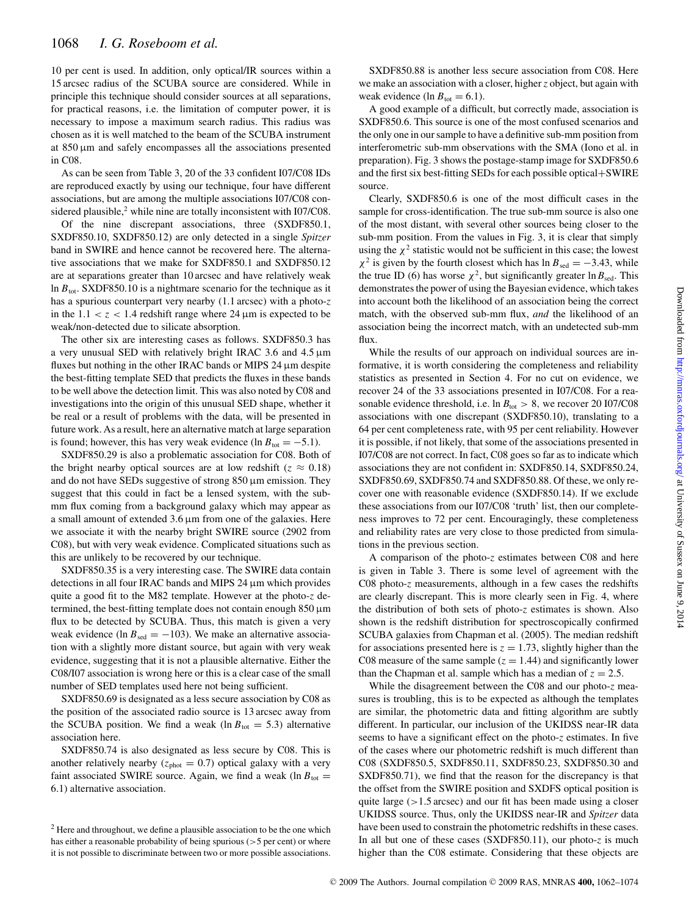10 per cent is used. In addition, only optical/IR sources within a 15 arcsec radius of the SCUBA source are considered. While in principle this technique should consider sources at all separations, for practical reasons, i.e. the limitation of computer power, it is necessary to impose a maximum search radius. This radius was chosen as it is well matched to the beam of the SCUBA instrument at  $850 \,\mu m$  and safely encompasses all the associations presented in C08.

As can be seen from Table 3, 20 of the 33 confident I07/C08 IDs are reproduced exactly by using our technique, four have different associations, but are among the multiple associations I07/C08 considered plausible, $2$  while nine are totally inconsistent with I07/C08.

Of the nine discrepant associations, three (SXDF850.1, SXDF850.10, SXDF850.12) are only detected in a single *Spitzer* band in SWIRE and hence cannot be recovered here. The alternative associations that we make for SXDF850.1 and SXDF850.12 are at separations greater than 10 arcsec and have relatively weak ln  $B_{\text{tot}}$ . SXDF850.10 is a nightmare scenario for the technique as it has a spurious counterpart very nearby (1.1 arcsec) with a photo-*z* in the  $1.1 < z < 1.4$  redshift range where 24  $\mu$ m is expected to be weak/non-detected due to silicate absorption.

The other six are interesting cases as follows. SXDF850.3 has a very unusual SED with relatively bright IRAC 3.6 and 4.5  $\mu$ m fluxes but nothing in the other IRAC bands or MIPS 24  $\mu$ m despite the best-fitting template SED that predicts the fluxes in these bands to be well above the detection limit. This was also noted by C08 and investigations into the origin of this unusual SED shape, whether it be real or a result of problems with the data, will be presented in future work. As a result, here an alternative match at large separation is found; however, this has very weak evidence (ln  $B_{\text{tot}} = -5.1$ ).

SXDF850.29 is also a problematic association for C08. Both of the bright nearby optical sources are at low redshift ( $z \approx 0.18$ ) and do not have SEDs suggestive of strong  $850 \,\mu m$  emission. They suggest that this could in fact be a lensed system, with the submm flux coming from a background galaxy which may appear as a small amount of extended  $3.6 \mu m$  from one of the galaxies. Here we associate it with the nearby bright SWIRE source (2902 from C08), but with very weak evidence. Complicated situations such as this are unlikely to be recovered by our technique.

SXDF850.35 is a very interesting case. The SWIRE data contain detections in all four IRAC bands and MIPS 24 µm which provides quite a good fit to the M82 template. However at the photo-*z* determined, the best-fitting template does not contain enough 850 µm flux to be detected by SCUBA. Thus, this match is given a very weak evidence (ln  $B_{\text{sed}} = -103$ ). We make an alternative association with a slightly more distant source, but again with very weak evidence, suggesting that it is not a plausible alternative. Either the C08/I07 association is wrong here or this is a clear case of the small number of SED templates used here not being sufficient.

SXDF850.69 is designated as a less secure association by C08 as the position of the associated radio source is 13 arcsec away from the SCUBA position. We find a weak (ln  $B_{\text{tot}} = 5.3$ ) alternative association here.

SXDF850.74 is also designated as less secure by C08. This is another relatively nearby ( $z<sub>phot</sub> = 0.7$ ) optical galaxy with a very faint associated SWIRE source. Again, we find a weak (ln  $B_{\text{tot}} =$ 6.1) alternative association.

SXDF850.88 is another less secure association from C08. Here we make an association with a closer, higher*z* object, but again with weak evidence (ln  $B_{\text{tot}} = 6.1$ ).

A good example of a difficult, but correctly made, association is SXDF850.6. This source is one of the most confused scenarios and the only one in our sample to have a definitive sub-mm position from interferometric sub-mm observations with the SMA (Iono et al. in preparation). Fig. 3 shows the postage-stamp image for SXDF850.6 and the first six best-fitting SEDs for each possible optical+SWIRE source.

Clearly, SXDF850.6 is one of the most difficult cases in the sample for cross-identification. The true sub-mm source is also one of the most distant, with several other sources being closer to the sub-mm position. From the values in Fig. 3, it is clear that simply using the  $\chi^2$  statistic would not be sufficient in this case; the lowest  $\chi^2$  is given by the fourth closest which has ln  $B_{\text{sed}} = -3.43$ , while the true ID (6) has worse  $\chi^2$ , but significantly greater  $\ln B_{\text{sed}}$ . This demonstrates the power of using the Bayesian evidence, which takes into account both the likelihood of an association being the correct match, with the observed sub-mm flux, *and* the likelihood of an association being the incorrect match, with an undetected sub-mm flux.

While the results of our approach on individual sources are informative, it is worth considering the completeness and reliability statistics as presented in Section 4. For no cut on evidence, we recover 24 of the 33 associations presented in I07/C08. For a reasonable evidence threshold, i.e. ln  $B_{\text{tot}} > 8$ , we recover 20 I07/C08 associations with one discrepant (SXDF850.10), translating to a 64 per cent completeness rate, with 95 per cent reliability. However it is possible, if not likely, that some of the associations presented in I07/C08 are not correct. In fact, C08 goes so far as to indicate which associations they are not confident in: SXDF850.14, SXDF850.24, SXDF850.69, SXDF850.74 and SXDF850.88. Of these, we only recover one with reasonable evidence (SXDF850.14). If we exclude these associations from our I07/C08 'truth' list, then our completeness improves to 72 per cent. Encouragingly, these completeness and reliability rates are very close to those predicted from simulations in the previous section.

A comparison of the photo-*z* estimates between C08 and here is given in Table 3. There is some level of agreement with the C08 photo-*z* measurements, although in a few cases the redshifts are clearly discrepant. This is more clearly seen in Fig. 4, where the distribution of both sets of photo-*z* estimates is shown. Also shown is the redshift distribution for spectroscopically confirmed SCUBA galaxies from Chapman et al. (2005). The median redshift for associations presented here is  $z = 1.73$ , slightly higher than the C08 measure of the same sample  $(z = 1.44)$  and significantly lower than the Chapman et al. sample which has a median of  $z = 2.5$ .

While the disagreement between the C08 and our photo-*z* measures is troubling, this is to be expected as although the templates are similar, the photometric data and fitting algorithm are subtly different. In particular, our inclusion of the UKIDSS near-IR data seems to have a significant effect on the photo-*z* estimates. In five of the cases where our photometric redshift is much different than C08 (SXDF850.5, SXDF850.11, SXDF850.23, SXDF850.30 and SXDF850.71), we find that the reason for the discrepancy is that the offset from the SWIRE position and SXDFS optical position is quite large  $(>1.5 \text{ arcsec})$  and our fit has been made using a closer UKIDSS source. Thus, only the UKIDSS near-IR and *Spitzer* data have been used to constrain the photometric redshifts in these cases. In all but one of these cases (SXDF850.11), our photo-*z* is much higher than the C08 estimate. Considering that these objects are

<sup>2</sup> Here and throughout, we define a plausible association to be the one which has either a reasonable probability of being spurious (> 5 per cent) or where it is not possible to discriminate between two or more possible associations.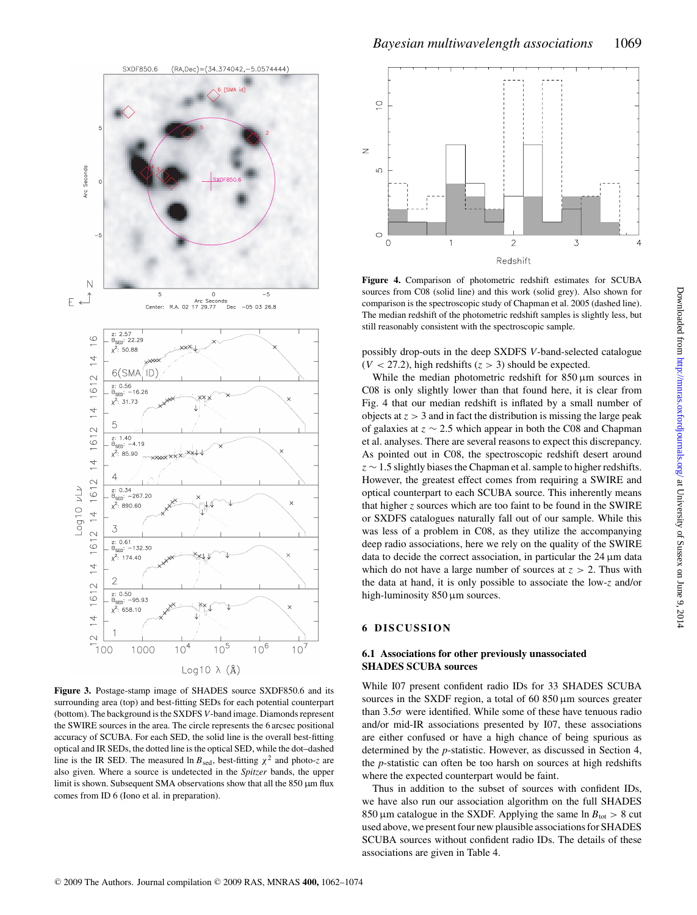

**Figure 3.** Postage-stamp image of SHADES source SXDF850.6 and its surrounding area (top) and best-fitting SEDs for each potential counterpart (bottom). The background is the SXDFS *V*-band image. Diamonds represent the SWIRE sources in the area. The circle represents the 6 arcsec positional accuracy of SCUBA. For each SED, the solid line is the overall best-fitting optical and IR SEDs, the dotted line is the optical SED, while the dot–dashed line is the IR SED. The measured ln  $B_{\text{sed}}$ , best-fitting  $\chi^2$  and photo-*z* are also given. Where a source is undetected in the *Spitzer* bands, the upper limit is shown. Subsequent SMA observations show that all the  $850 \mu m$  flux comes from ID 6 (Iono et al. in preparation).



**Figure 4.** Comparison of photometric redshift estimates for SCUBA sources from C08 (solid line) and this work (solid grey). Also shown for comparison is the spectroscopic study of Chapman et al. 2005 (dashed line). The median redshift of the photometric redshift samples is slightly less, but still reasonably consistent with the spectroscopic sample.

possibly drop-outs in the deep SXDFS *V*-band-selected catalogue  $(V < 27.2)$ , high redshifts  $(z > 3)$  should be expected.

While the median photometric redshift for  $850 \,\mu m$  sources in C08 is only slightly lower than that found here, it is clear from Fig. 4 that our median redshift is inflated by a small number of objects at  $z > 3$  and in fact the distribution is missing the large peak of galaxies at z ∼ 2.5 which appear in both the C08 and Chapman et al. analyses. There are several reasons to expect this discrepancy. As pointed out in C08, the spectroscopic redshift desert around  $z \sim 1.5$  slightly biases the Chapman et al. sample to higher redshifts. However, the greatest effect comes from requiring a SWIRE and optical counterpart to each SCUBA source. This inherently means that higher *z* sources which are too faint to be found in the SWIRE or SXDFS catalogues naturally fall out of our sample. While this was less of a problem in C08, as they utilize the accompanying deep radio associations, here we rely on the quality of the SWIRE data to decide the correct association, in particular the  $24 \mu m$  data which do not have a large number of sources at  $z > 2$ . Thus with the data at hand, it is only possible to associate the low-*z* and/or high-luminosity 850 µm sources.

# **6 DISCUSSION**

# **6.1 Associations for other previously unassociated SHADES SCUBA sources**

While I07 present confident radio IDs for 33 SHADES SCUBA sources in the SXDF region, a total of 60  $850 \mu m$  sources greater than  $3.5\sigma$  were identified. While some of these have tenuous radio and/or mid-IR associations presented by I07, these associations are either confused or have a high chance of being spurious as determined by the *p*-statistic. However, as discussed in Section 4, the *p*-statistic can often be too harsh on sources at high redshifts where the expected counterpart would be faint.

Thus in addition to the subset of sources with confident IDs, we have also run our association algorithm on the full SHADES 850 µm catalogue in the SXDF. Applying the same ln  $B_{\text{tot}} > 8$  cut used above, we present four new plausible associations for SHADES SCUBA sources without confident radio IDs. The details of these associations are given in Table 4.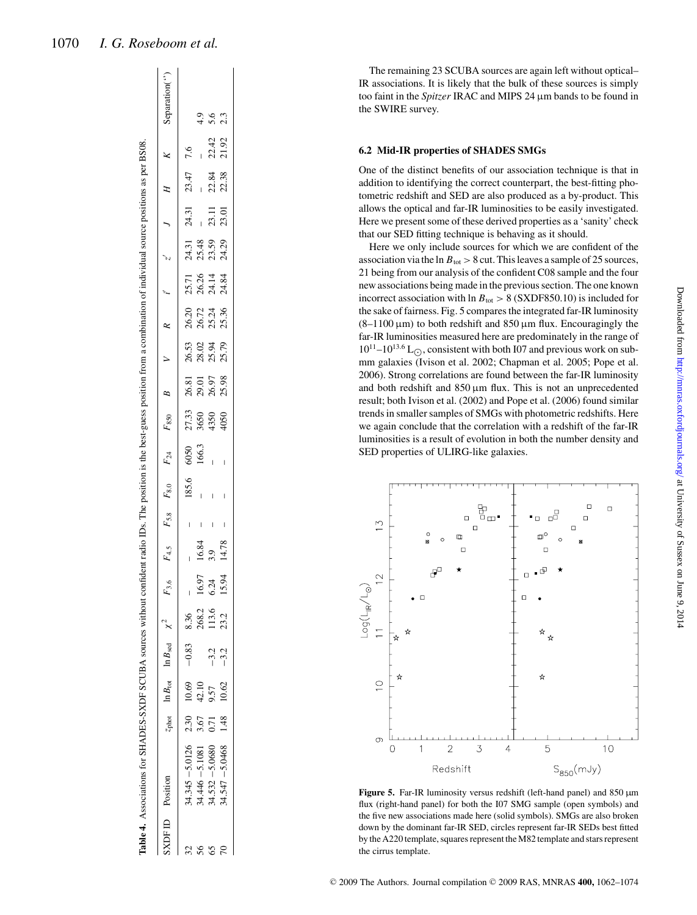| Table 4. Associations for SHADES-SXDF SCUBA sources without |                   |       |                                                    |       |       |       |       | confident radio IDs. The position is the best-guess position from a combination of individual source positions as per BS08. |                               |                         |                         |                     |                         |                                  |                   |                |                |                           |
|-------------------------------------------------------------|-------------------|-------|----------------------------------------------------|-------|-------|-------|-------|-----------------------------------------------------------------------------------------------------------------------------|-------------------------------|-------------------------|-------------------------|---------------------|-------------------------|----------------------------------|-------------------|----------------|----------------|---------------------------|
| SXDFID Position                                             | Z <sub>phot</sub> |       | $\ln B_{\text{tot}}$ $\ln B_{\text{sed}}$ $\chi^2$ |       |       |       |       | $F_{3.6}$ $F_{4.5}$ $F_{5.8}$ $F_{8.0}$ $F_{24}$ $F_{850}$                                                                  |                               | B                       |                         |                     |                         |                                  |                   |                |                | Separation <sup>(")</sup> |
| $(4.345 - 5.0126)$ 2.30 10.69                               |                   |       | $-0.83$                                            | 8.36  |       |       | 185.6 |                                                                                                                             |                               |                         |                         |                     |                         |                                  | 24.31             | 23.47          | 7.6            |                           |
| $34.446 - 5.1081$                                           | 3.67              | 42.10 |                                                    | 268.2 | 16.97 | 16.84 |       | 6050<br>166.3                                                                                                               | 27.33<br>3650<br>4350<br>4050 | 26.81<br>29.97<br>29.98 | 56.53<br>28.52<br>28.52 | គ<br>កំពុង<br>កំពុង | 77<br>26.25<br>26.27.34 | ភ្នំ និង<br>ភ្នំ និង<br>ភ្នំ ដឹង |                   |                |                | $\frac{1}{4}$             |
| $34.532 - 5.0680$                                           | 0.71              | 9.57  | $-3.2$                                             | 113.6 | 6.24  | 3.9   |       |                                                                                                                             |                               |                         |                         |                     |                         |                                  | $\frac{1}{23.11}$ |                |                | 5.6                       |
| 84.547 -5.0468                                              | 1.48              | 10.62 | $-3.2$                                             | 23.2  | 15.94 | 14.78 |       |                                                                                                                             |                               |                         |                         |                     |                         |                                  |                   | 22.84<br>22.38 | 22.42<br>21.92 | 2.3                       |
|                                                             |                   |       |                                                    |       |       |       |       |                                                                                                                             |                               |                         |                         |                     |                         |                                  |                   |                |                |                           |

The remaining 23 SCUBA sources are again left without optical– IR associations. It is likely that the bulk of these sources is simply too faint in the *Spitzer* IRAC and MIPS 24 µm bands to be found in the SWIRE survey.

### **6.2 Mid-IR properties of SHADES SMGs**

One of the distinct benefits of our association technique is that in addition to identifying the correct counterpart, the best-fitting photometric redshift and SED are also produced as a by-product. This allows the optical and far-IR luminosities to be easily investigated. Here we present some of these derived properties as a 'sanity' check that our SED fitting technique is behaving as it should.

Here we only include sources for which we are confident of the association via the  $\ln B_{\text{tot}} > 8$  cut. This leaves a sample of 25 sources, 21 being from our analysis of the confident C08 sample and the four new associations being made in the previous section. The one known incorrect association with  $\ln B_{\text{tot}} > 8$  (SXDF850.10) is included for the sake of fairness. Fig. 5 compares the integrated far-IR luminosity  $(8-1100 \,\mu m)$  to both redshift and  $850 \,\mu m$  flux. Encouragingly the far-IR luminosities measured here are predominately in the range of  $10^{11}$ – $10^{13.6}$  L<sub> $\odot$ </sub>, consistent with both I07 and previous work on submm galaxies (Ivison et al. 2002; Chapman et al. 2005; Pope et al. 2006). Strong correlations are found between the far-IR luminosity and both redshift and  $850 \,\mu m$  flux. This is not an unprecedented result; both Ivison et al. (2002) and Pope et al. (2006) found similar trends in smaller samples of SMGs with photometric redshifts. Here we again conclude that the correlation with a redshift of the far-IR luminosities is a result of evolution in both the number density and SED properties of ULIRG-like galaxies.



Figure 5. Far-IR luminosity versus redshift (left-hand panel) and 850  $\mu$ m flux (right-hand panel) for both the I07 SMG sample (open symbols) and the five new associations made here (solid symbols). SMGs are also broken down by the dominant far-IR SED, circles represent far-IR SEDs best fitted by the A220 template, squares represent the M82 template and stars represent the cirrus template.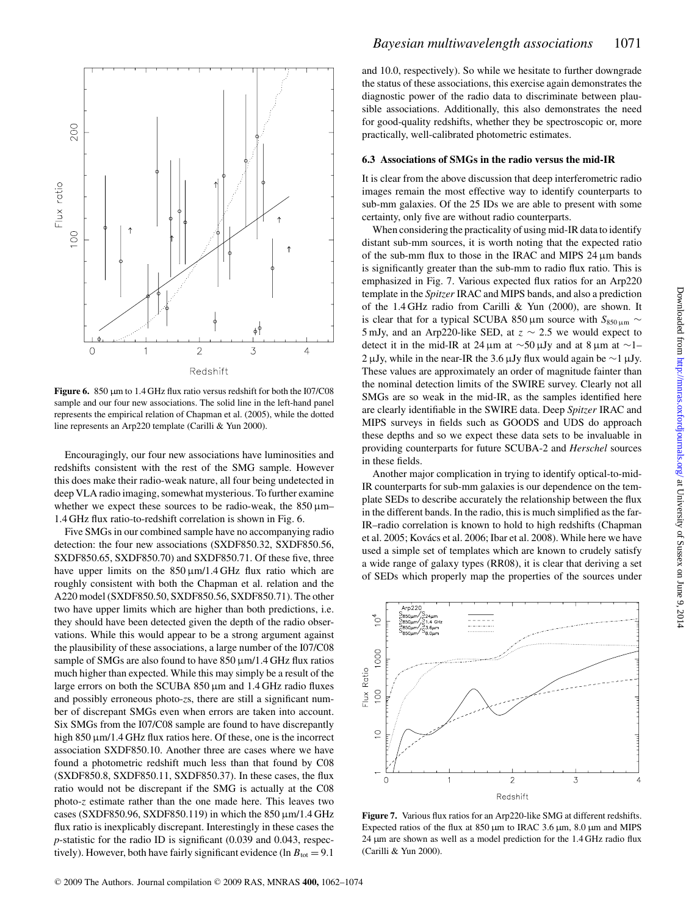

**Figure 6.** 850 µm to 1.4 GHz flux ratio versus redshift for both the I07/C08 sample and our four new associations. The solid line in the left-hand panel represents the empirical relation of Chapman et al. (2005), while the dotted line represents an Arp220 template (Carilli & Yun 2000).

Encouragingly, our four new associations have luminosities and redshifts consistent with the rest of the SMG sample. However this does make their radio-weak nature, all four being undetected in deep VLA radio imaging, somewhat mysterious. To further examine whether we expect these sources to be radio-weak, the  $850 \,\mu m$ – 1.4 GHz flux ratio-to-redshift correlation is shown in Fig. 6.

Five SMGs in our combined sample have no accompanying radio detection: the four new associations (SXDF850.32, SXDF850.56, SXDF850.65, SXDF850.70) and SXDF850.71. Of these five, three have upper limits on the  $850 \mu m/1.4 \text{ GHz}$  flux ratio which are roughly consistent with both the Chapman et al. relation and the A220 model (SXDF850.50, SXDF850.56, SXDF850.71). The other two have upper limits which are higher than both predictions, i.e. they should have been detected given the depth of the radio observations. While this would appear to be a strong argument against the plausibility of these associations, a large number of the I07/C08 sample of SMGs are also found to have  $850 \mu m/1.4 \text{ GHz}$  flux ratios much higher than expected. While this may simply be a result of the large errors on both the SCUBA  $850 \mu m$  and  $1.4 \text{ GHz}$  radio fluxes and possibly erroneous photo-*z*s, there are still a significant number of discrepant SMGs even when errors are taken into account. Six SMGs from the I07/C08 sample are found to have discrepantly high 850 µm/1.4 GHz flux ratios here. Of these, one is the incorrect association SXDF850.10. Another three are cases where we have found a photometric redshift much less than that found by C08 (SXDF850.8, SXDF850.11, SXDF850.37). In these cases, the flux ratio would not be discrepant if the SMG is actually at the C08 photo-*z* estimate rather than the one made here. This leaves two cases (SXDF850.96, SXDF850.119) in which the  $850 \,\mu m/1.4 \,\text{GHz}$ flux ratio is inexplicably discrepant. Interestingly in these cases the *p*-statistic for the radio ID is significant (0.039 and 0.043, respectively). However, both have fairly significant evidence (ln  $B_{\text{tot}} = 9.1$ )

and 10.0, respectively). So while we hesitate to further downgrade the status of these associations, this exercise again demonstrates the diagnostic power of the radio data to discriminate between plausible associations. Additionally, this also demonstrates the need for good-quality redshifts, whether they be spectroscopic or, more practically, well-calibrated photometric estimates.

#### **6.3 Associations of SMGs in the radio versus the mid-IR**

It is clear from the above discussion that deep interferometric radio images remain the most effective way to identify counterparts to sub-mm galaxies. Of the 25 IDs we are able to present with some certainty, only five are without radio counterparts.

When considering the practicality of using mid-IR data to identify distant sub-mm sources, it is worth noting that the expected ratio of the sub-mm flux to those in the IRAC and MIPS  $24 \mu m$  bands is significantly greater than the sub-mm to radio flux ratio. This is emphasized in Fig. 7. Various expected flux ratios for an Arp220 template in the *Spitzer* IRAC and MIPS bands, and also a prediction of the 1.4 GHz radio from Carilli & Yun (2000), are shown. It is clear that for a typical SCUBA 850 μm source with  $S_{850 \mu m}$  ∼ 5 mJy, and an Arp220-like SED, at  $z \sim 2.5$  we would expect to detect it in the mid-IR at 24 µm at ∼50 µJy and at 8 µm at ∼1– 2 µJy, while in the near-IR the 3.6 µJy flux would again be ∼1 µJy. These values are approximately an order of magnitude fainter than the nominal detection limits of the SWIRE survey. Clearly not all SMGs are so weak in the mid-IR, as the samples identified here are clearly identifiable in the SWIRE data. Deep *Spitzer* IRAC and MIPS surveys in fields such as GOODS and UDS do approach these depths and so we expect these data sets to be invaluable in providing counterparts for future SCUBA-2 and *Herschel* sources in these fields.

Another major complication in trying to identify optical-to-mid-IR counterparts for sub-mm galaxies is our dependence on the template SEDs to describe accurately the relationship between the flux in the different bands. In the radio, this is much simplified as the far-IR–radio correlation is known to hold to high redshifts (Chapman et al. 2005; Kovács et al. 2006; Ibar et al. 2008). While here we have used a simple set of templates which are known to crudely satisfy a wide range of galaxy types (RR08), it is clear that deriving a set of SEDs which properly map the properties of the sources under



**Figure 7.** Various flux ratios for an Arp220-like SMG at different redshifts. Expected ratios of the flux at 850 µm to IRAC 3.6 µm, 8.0 µm and MIPS 24 µm are shown as well as a model prediction for the 1.4 GHz radio flux (Carilli & Yun 2000).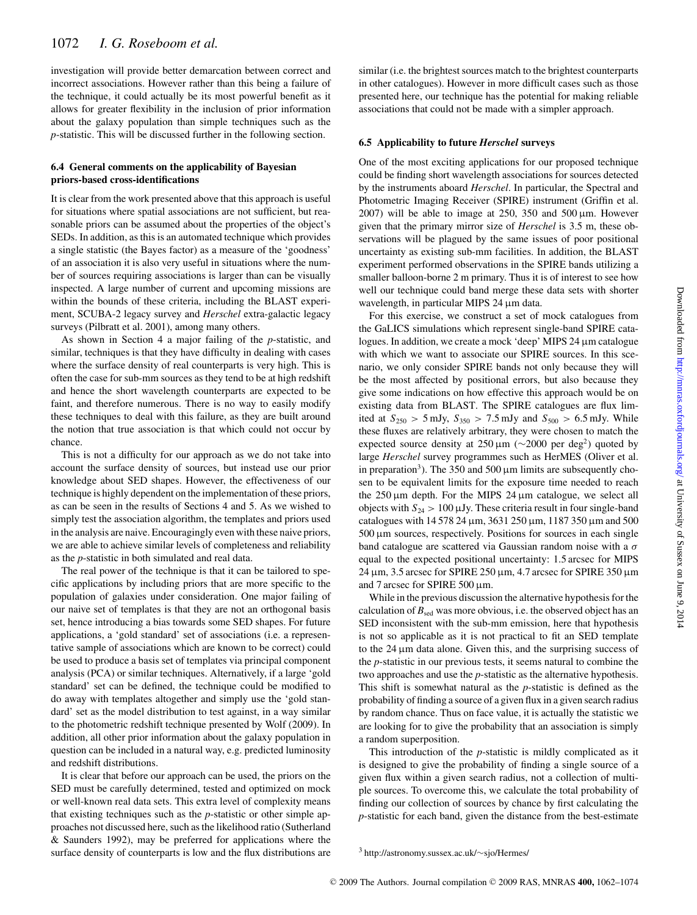investigation will provide better demarcation between correct and incorrect associations. However rather than this being a failure of the technique, it could actually be its most powerful benefit as it allows for greater flexibility in the inclusion of prior information about the galaxy population than simple techniques such as the *p*-statistic. This will be discussed further in the following section.

## **6.4 General comments on the applicability of Bayesian priors-based cross-identifications**

It is clear from the work presented above that this approach is useful for situations where spatial associations are not sufficient, but reasonable priors can be assumed about the properties of the object's SEDs. In addition, as this is an automated technique which provides a single statistic (the Bayes factor) as a measure of the 'goodness' of an association it is also very useful in situations where the number of sources requiring associations is larger than can be visually inspected. A large number of current and upcoming missions are within the bounds of these criteria, including the BLAST experiment, SCUBA-2 legacy survey and *Herschel* extra-galactic legacy surveys (Pilbratt et al. 2001), among many others.

As shown in Section 4 a major failing of the *p*-statistic, and similar, techniques is that they have difficulty in dealing with cases where the surface density of real counterparts is very high. This is often the case for sub-mm sources as they tend to be at high redshift and hence the short wavelength counterparts are expected to be faint, and therefore numerous. There is no way to easily modify these techniques to deal with this failure, as they are built around the notion that true association is that which could not occur by chance.

This is not a difficulty for our approach as we do not take into account the surface density of sources, but instead use our prior knowledge about SED shapes. However, the effectiveness of our technique is highly dependent on the implementation of these priors, as can be seen in the results of Sections 4 and 5. As we wished to simply test the association algorithm, the templates and priors used in the analysis are naive. Encouragingly even with these naive priors, we are able to achieve similar levels of completeness and reliability as the *p*-statistic in both simulated and real data.

The real power of the technique is that it can be tailored to specific applications by including priors that are more specific to the population of galaxies under consideration. One major failing of our naive set of templates is that they are not an orthogonal basis set, hence introducing a bias towards some SED shapes. For future applications, a 'gold standard' set of associations (i.e. a representative sample of associations which are known to be correct) could be used to produce a basis set of templates via principal component analysis (PCA) or similar techniques. Alternatively, if a large 'gold standard' set can be defined, the technique could be modified to do away with templates altogether and simply use the 'gold standard' set as the model distribution to test against, in a way similar to the photometric redshift technique presented by Wolf (2009). In addition, all other prior information about the galaxy population in question can be included in a natural way, e.g. predicted luminosity and redshift distributions.

It is clear that before our approach can be used, the priors on the SED must be carefully determined, tested and optimized on mock or well-known real data sets. This extra level of complexity means that existing techniques such as the *p*-statistic or other simple approaches not discussed here, such as the likelihood ratio (Sutherland & Saunders 1992), may be preferred for applications where the surface density of counterparts is low and the flux distributions are

similar (i.e. the brightest sources match to the brightest counterparts in other catalogues). However in more difficult cases such as those presented here, our technique has the potential for making reliable associations that could not be made with a simpler approach.

#### **6.5 Applicability to future** *Herschel* **surveys**

One of the most exciting applications for our proposed technique could be finding short wavelength associations for sources detected by the instruments aboard *Herschel*. In particular, the Spectral and Photometric Imaging Receiver (SPIRE) instrument (Griffin et al.  $2007$ ) will be able to image at  $250$ ,  $350$  and  $500 \text{ µm}$ . However given that the primary mirror size of *Herschel* is 3.5 m, these observations will be plagued by the same issues of poor positional uncertainty as existing sub-mm facilities. In addition, the BLAST experiment performed observations in the SPIRE bands utilizing a smaller balloon-borne 2 m primary. Thus it is of interest to see how well our technique could band merge these data sets with shorter wavelength, in particular MIPS 24 µm data.

For this exercise, we construct a set of mock catalogues from the GaLICS simulations which represent single-band SPIRE catalogues. In addition, we create a mock 'deep' MIPS 24 µm catalogue with which we want to associate our SPIRE sources. In this scenario, we only consider SPIRE bands not only because they will be the most affected by positional errors, but also because they give some indications on how effective this approach would be on existing data from BLAST. The SPIRE catalogues are flux limited at  $S_{250} > 5$  mJy,  $S_{350} > 7.5$  mJy and  $S_{500} > 6.5$  mJy. While these fluxes are relatively arbitrary, they were chosen to match the expected source density at  $250 \,\mu\text{m}$  (~2000 per deg<sup>2</sup>) quoted by large *Herschel* survey programmes such as HerMES (Oliver et al. in preparation<sup>3</sup>). The 350 and 500  $\mu$ m limits are subsequently chosen to be equivalent limits for the exposure time needed to reach the  $250 \mu m$  depth. For the MIPS  $24 \mu m$  catalogue, we select all objects with  $S_{24} > 100 \mu Jy$ . These criteria result in four single-band catalogues with 14 578 24 µm, 3631 250 µm, 1187 350 µm and 500  $500 \,\mu m$  sources, respectively. Positions for sources in each single band catalogue are scattered via Gaussian random noise with a  $\sigma$ equal to the expected positional uncertainty: 1.5 arcsec for MIPS  $24 \mu m$ , 3.5 arcsec for SPIRE  $250 \mu m$ , 4.7 arcsec for SPIRE 350  $\mu m$ and 7 arcsec for SPIRE 500 µm.

While in the previous discussion the alternative hypothesis for the calculation of  $B_{\text{sed}}$  was more obvious, i.e. the observed object has an SED inconsistent with the sub-mm emission, here that hypothesis is not so applicable as it is not practical to fit an SED template to the  $24 \mu m$  data alone. Given this, and the surprising success of the *p*-statistic in our previous tests, it seems natural to combine the two approaches and use the *p*-statistic as the alternative hypothesis. This shift is somewhat natural as the *p*-statistic is defined as the probability of finding a source of a given flux in a given search radius by random chance. Thus on face value, it is actually the statistic we are looking for to give the probability that an association is simply a random superposition.

This introduction of the *p*-statistic is mildly complicated as it is designed to give the probability of finding a single source of a given flux within a given search radius, not a collection of multiple sources. To overcome this, we calculate the total probability of finding our collection of sources by chance by first calculating the *p*-statistic for each band, given the distance from the best-estimate

<sup>3</sup> http://astronomy.sussex.ac.uk/∼sjo/Hermes/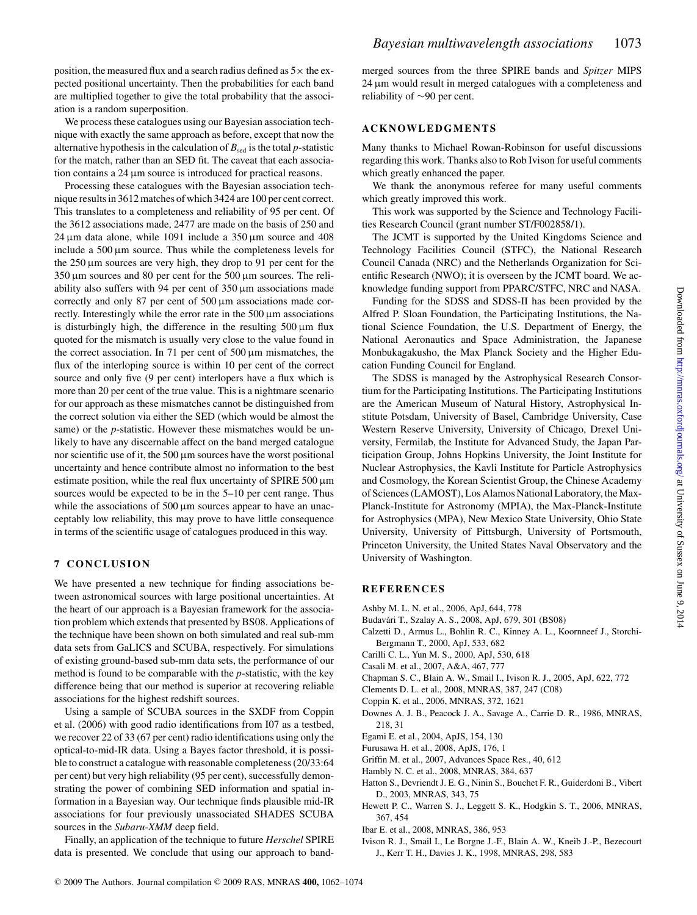position, the measured flux and a search radius defined as  $5\times$  the expected positional uncertainty. Then the probabilities for each band are multiplied together to give the total probability that the association is a random superposition.

We process these catalogues using our Bayesian association technique with exactly the same approach as before, except that now the alternative hypothesis in the calculation of  $B_{\text{sed}}$  is the total *p*-statistic for the match, rather than an SED fit. The caveat that each association contains a 24 µm source is introduced for practical reasons.

Processing these catalogues with the Bayesian association technique results in 3612 matches of which 3424 are 100 per cent correct. This translates to a completeness and reliability of 95 per cent. Of the 3612 associations made, 2477 are made on the basis of 250 and  $24 \mu m$  data alone, while 1091 include a 350  $\mu$ m source and 408 include a  $500 \mu m$  source. Thus while the completeness levels for the  $250 \mu m$  sources are very high, they drop to 91 per cent for the  $350 \,\mu m$  sources and 80 per cent for the 500  $\mu$ m sources. The reliability also suffers with 94 per cent of  $350 \,\mu m$  associations made correctly and only 87 per cent of  $500 \mu m$  associations made correctly. Interestingly while the error rate in the  $500 \mu m$  associations is disturbingly high, the difference in the resulting  $500 \,\mu m$  flux quoted for the mismatch is usually very close to the value found in the correct association. In 71 per cent of  $500 \,\mu m$  mismatches, the flux of the interloping source is within 10 per cent of the correct source and only five (9 per cent) interlopers have a flux which is more than 20 per cent of the true value. This is a nightmare scenario for our approach as these mismatches cannot be distinguished from the correct solution via either the SED (which would be almost the same) or the *p*-statistic. However these mismatches would be unlikely to have any discernable affect on the band merged catalogue nor scientific use of it, the 500 µm sources have the worst positional uncertainty and hence contribute almost no information to the best estimate position, while the real flux uncertainty of SPIRE 500  $\mu$ m sources would be expected to be in the 5–10 per cent range. Thus while the associations of  $500 \mu m$  sources appear to have an unacceptably low reliability, this may prove to have little consequence in terms of the scientific usage of catalogues produced in this way.

### **7 CONCLUSION**

We have presented a new technique for finding associations between astronomical sources with large positional uncertainties. At the heart of our approach is a Bayesian framework for the association problem which extends that presented by BS08. Applications of the technique have been shown on both simulated and real sub-mm data sets from GaLICS and SCUBA, respectively. For simulations of existing ground-based sub-mm data sets, the performance of our method is found to be comparable with the *p*-statistic, with the key difference being that our method is superior at recovering reliable associations for the highest redshift sources.

Using a sample of SCUBA sources in the SXDF from Coppin et al. (2006) with good radio identifications from I07 as a testbed, we recover 22 of 33 (67 per cent) radio identifications using only the optical-to-mid-IR data. Using a Bayes factor threshold, it is possible to construct a catalogue with reasonable completeness (20/33:64 per cent) but very high reliability (95 per cent), successfully demonstrating the power of combining SED information and spatial information in a Bayesian way. Our technique finds plausible mid-IR associations for four previously unassociated SHADES SCUBA sources in the *Subaru-XMM* deep field.

Finally, an application of the technique to future *Herschel* SPIRE data is presented. We conclude that using our approach to band-

merged sources from the three SPIRE bands and *Spitzer* MIPS 24 µm would result in merged catalogues with a completeness and reliability of ∼90 per cent.

# **ACKNOWLEDGMENTS**

Many thanks to Michael Rowan-Robinson for useful discussions regarding this work. Thanks also to Rob Ivison for useful comments which greatly enhanced the paper.

We thank the anonymous referee for many useful comments which greatly improved this work.

This work was supported by the Science and Technology Facilities Research Council (grant number ST/F002858/1).

The JCMT is supported by the United Kingdoms Science and Technology Facilities Council (STFC), the National Research Council Canada (NRC) and the Netherlands Organization for Scientific Research (NWO); it is overseen by the JCMT board. We acknowledge funding support from PPARC/STFC, NRC and NASA.

Funding for the SDSS and SDSS-II has been provided by the Alfred P. Sloan Foundation, the Participating Institutions, the National Science Foundation, the U.S. Department of Energy, the National Aeronautics and Space Administration, the Japanese Monbukagakusho, the Max Planck Society and the Higher Education Funding Council for England.

The SDSS is managed by the Astrophysical Research Consortium for the Participating Institutions. The Participating Institutions are the American Museum of Natural History, Astrophysical Institute Potsdam, University of Basel, Cambridge University, Case Western Reserve University, University of Chicago, Drexel University, Fermilab, the Institute for Advanced Study, the Japan Participation Group, Johns Hopkins University, the Joint Institute for Nuclear Astrophysics, the Kavli Institute for Particle Astrophysics and Cosmology, the Korean Scientist Group, the Chinese Academy of Sciences (LAMOST), Los Alamos National Laboratory, the Max-Planck-Institute for Astronomy (MPIA), the Max-Planck-Institute for Astrophysics (MPA), New Mexico State University, Ohio State University, University of Pittsburgh, University of Portsmouth, Princeton University, the United States Naval Observatory and the University of Washington.

### **REFERENCES**

- Ashby M. L. N. et al., 2006, ApJ, 644, 778
- Budavari T., Szalay A. S., 2008, ApJ, 679, 301 (BS08) ´
- Calzetti D., Armus L., Bohlin R. C., Kinney A. L., Koornneef J., Storchi-Bergmann T., 2000, ApJ, 533, 682
- Carilli C. L., Yun M. S., 2000, ApJ, 530, 618
- Casali M. et al., 2007, A&A, 467, 777
- Chapman S. C., Blain A. W., Smail I., Ivison R. J., 2005, ApJ, 622, 772
- Clements D. L. et al., 2008, MNRAS, 387, 247 (C08)
- Coppin K. et al., 2006, MNRAS, 372, 1621
- Downes A. J. B., Peacock J. A., Savage A., Carrie D. R., 1986, MNRAS, 218, 31
- Egami E. et al., 2004, ApJS, 154, 130
- Furusawa H. et al., 2008, ApJS, 176, 1
- Griffin M. et al., 2007, Advances Space Res., 40, 612
- Hambly N. C. et al., 2008, MNRAS, 384, 637
- Hatton S., Devriendt J. E. G., Ninin S., Bouchet F. R., Guiderdoni B., Vibert D., 2003, MNRAS, 343, 75
- Hewett P. C., Warren S. J., Leggett S. K., Hodgkin S. T., 2006, MNRAS, 367, 454
- Ibar E. et al., 2008, MNRAS, 386, 953
- Ivison R. J., Smail I., Le Borgne J.-F., Blain A. W., Kneib J.-P., Bezecourt J., Kerr T. H., Davies J. K., 1998, MNRAS, 298, 583